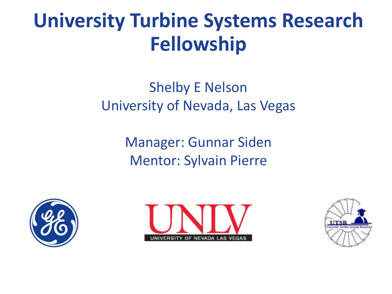#### **University Turbine Systems Research Fellowship**

#### Shelby E Nelson University of Nevada, Las Vegas

Manager: Gunnar Siden Mentor: Sylvain Pierre





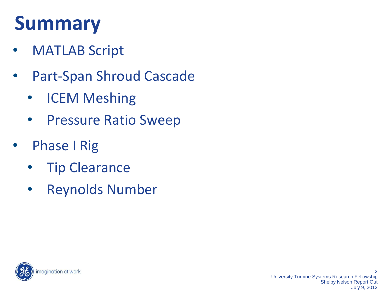### **Summary**

- MATLAB Script
- Part-Span Shroud Cascade
	- ICEM Meshing
	- Pressure Ratio Sweep
- Phase I Rig
	- Tip Clearance
	- Reynolds Number

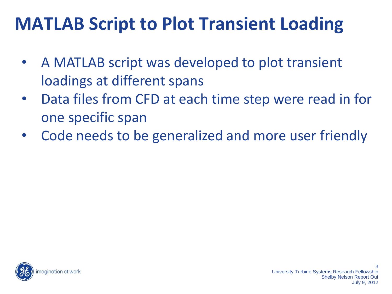#### **MATLAB Script to Plot Transient Loading**

- A MATLAB script was developed to plot transient loadings at different spans
- Data files from CFD at each time step were read in for one specific span
- Code needs to be generalized and more user friendly

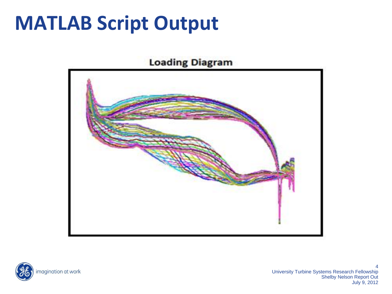#### **MATLAB Script Output**

#### **Loading Diagram**





4 University Turbine Systems Research Fellowship Shelby Nelson Report Out July 9, 2012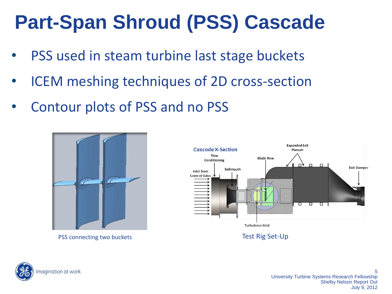# **Part-Span Shroud (PSS) Cascade**

- PSS used in steam turbine last stage buckets
- ICEM meshing techniques of 2D cross-section
- Contour plots of PSS and no PSS



PSS connecting two buckets Test Rig Set-Up



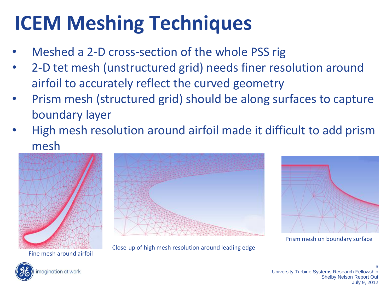# **ICEM Meshing Techniques**

- Meshed a 2-D cross-section of the whole PSS rig
- 2-D tet mesh (unstructured grid) needs finer resolution around airfoil to accurately reflect the curved geometry
- Prism mesh (structured grid) should be along surfaces to capture boundary layer
- High mesh resolution around airfoil made it difficult to add prism mesh



Fine mesh around airfoil

Close-up of high mesh resolution around leading edge



Prism mesh on boundary surface



6 University Turbine Systems Research Fellowship Shelby Nelson Report Out July 9, 2012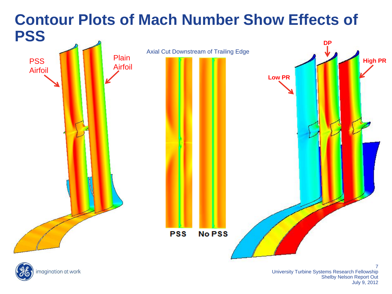#### **Contour Plots of Mach Number Show Effects of PSS**

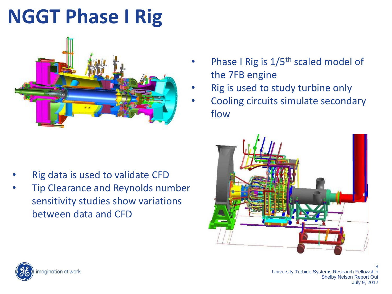# **NGGT Phase I Rig**



- Rig data is used to validate CFD
- Tip Clearance and Reynolds number sensitivity studies show variations between data and CFD
- Phase I Rig is  $1/5$ <sup>th</sup> scaled model of the 7FB engine
- Rig is used to study turbine only
- Cooling circuits simulate secondary flow





8 University Turbine Systems Research Fellowship Shelby Nelson Report Out July 9, 2012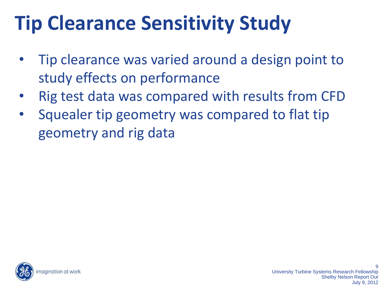# **Tip Clearance Sensitivity Study**

- Tip clearance was varied around a design point to study effects on performance
- Rig test data was compared with results from CFD
- Squealer tip geometry was compared to flat tip geometry and rig data

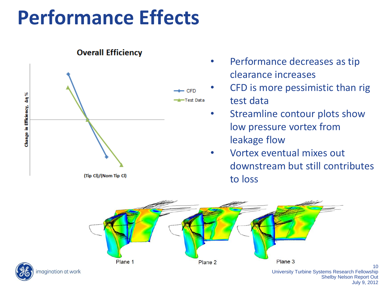# **Performance Effects**



#### **Overall Efficiency**

- Performance decreases as tip clearance increases
- CFD is more pessimistic than rig test data
	- Streamline contour plots show low pressure vortex from leakage flow
	- Vortex eventual mixes out downstream but still contributes to loss



 $1<sub>0</sub>$ University Turbine Systems Research Fellowship Shelby Nelson Report Out July 9, 2012



nagination at work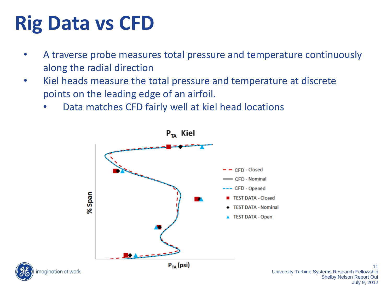# **Rig Data vs CFD**

- A traverse probe measures total pressure and temperature continuously along the radial direction
- Kiel heads measure the total pressure and temperature at discrete points on the leading edge of an airfoil.
	- Data matches CFD fairly well at kiel head locations



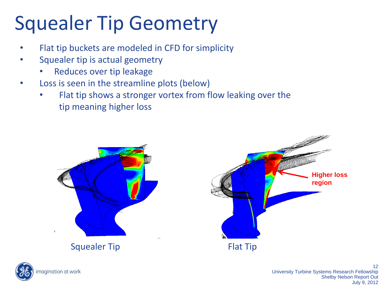# Squealer Tip Geometry

- Flat tip buckets are modeled in CFD for simplicity
- Squealer tip is actual geometry
	- Reduces over tip leakage
- Loss is seen in the streamline plots (below)
	- Flat tip shows a stronger vortex from flow leaking over the tip meaning higher loss





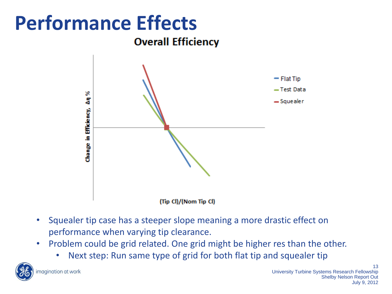# **Performance Effects**

**Overall Efficiency** 



- Squealer tip case has a steeper slope meaning a more drastic effect on performance when varying tip clearance.
- Problem could be grid related. One grid might be higher res than the other.
	- Next step: Run same type of grid for both flat tip and squealer tip

magination at work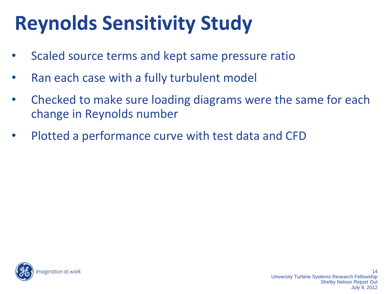# **Reynolds Sensitivity Study**

- Scaled source terms and kept same pressure ratio
- Ran each case with a fully turbulent model
- Checked to make sure loading diagrams were the same for each change in Reynolds number
- Plotted a performance curve with test data and CFD

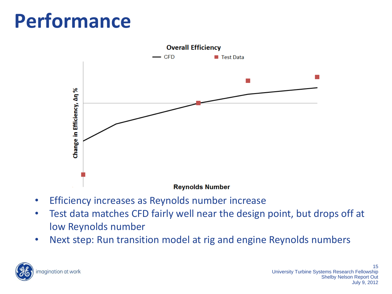## **Performance**



- Efficiency increases as Reynolds number increase
- Test data matches CFD fairly well near the design point, but drops off at low Reynolds number
- Next step: Run transition model at rig and engine Reynolds numbers

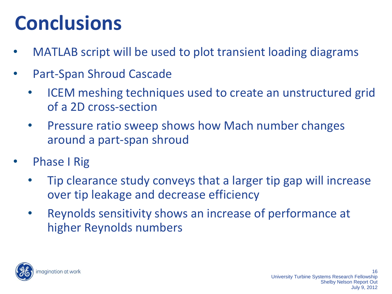# **Conclusions**

- MATLAB script will be used to plot transient loading diagrams
- Part-Span Shroud Cascade
	- ICEM meshing techniques used to create an unstructured grid of a 2D cross-section
	- Pressure ratio sweep shows how Mach number changes around a part-span shroud
- **Phase I Rig** 
	- Tip clearance study conveys that a larger tip gap will increase over tip leakage and decrease efficiency
	- Reynolds sensitivity shows an increase of performance at higher Reynolds numbers

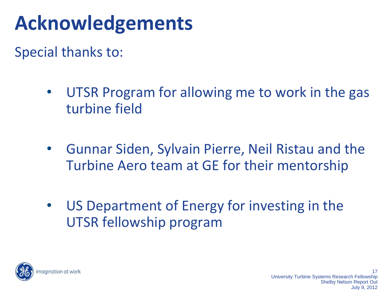# **Acknowledgements**

Special thanks to:

- UTSR Program for allowing me to work in the gas turbine field
- Gunnar Siden, Sylvain Pierre, Neil Ristau and the Turbine Aero team at GE for their mentorship
- US Department of Energy for investing in the UTSR fellowship program